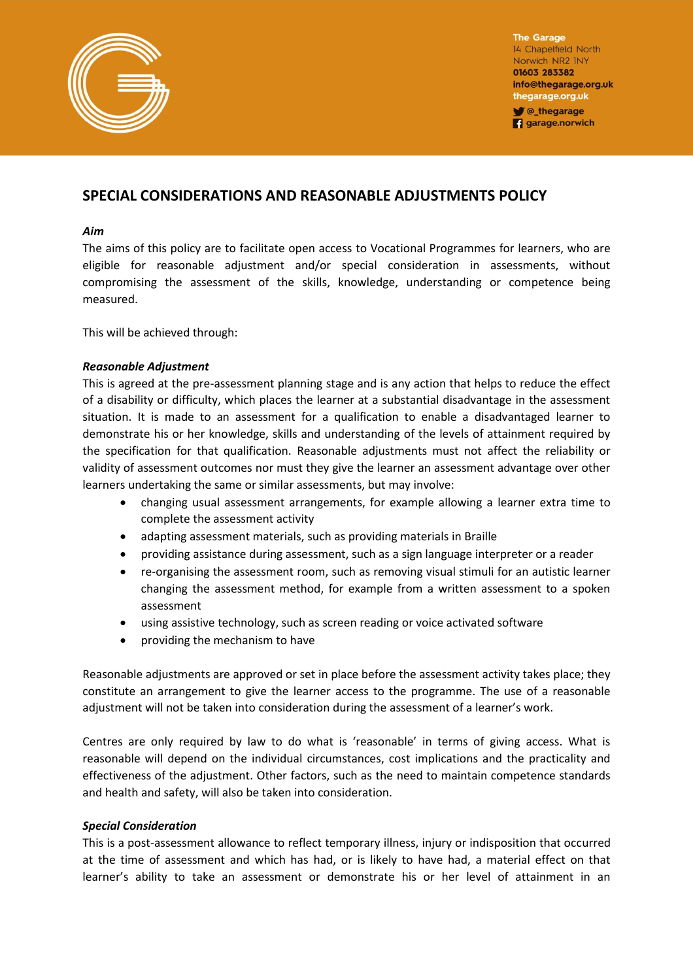

**The Garage** 14 Chapelfield North Norwich NR2 INY 01603 283382 info@thegarage.org.uk thegarage.org.uk **V** @\_thegarage

**q** garage.norwich

# **SPECIAL CONSIDERATIONS AND REASONABLE ADJUSTMENTS POLICY**

## *Aim*

The aims of this policy are to facilitate open access to Vocational Programmes for learners, who are eligible for reasonable adjustment and/or special consideration in assessments, without compromising the assessment of the skills, knowledge, understanding or competence being measured.

This will be achieved through:

## *Reasonable Adjustment*

This is agreed at the pre-assessment planning stage and is any action that helps to reduce the effect of a disability or difficulty, which places the learner at a substantial disadvantage in the assessment situation. It is made to an assessment for a qualification to enable a disadvantaged learner to demonstrate his or her knowledge, skills and understanding of the levels of attainment required by the specification for that qualification. Reasonable adjustments must not affect the reliability or validity of assessment outcomes nor must they give the learner an assessment advantage over other learners undertaking the same or similar assessments, but may involve:

- changing usual assessment arrangements, for example allowing a learner extra time to complete the assessment activity
- adapting assessment materials, such as providing materials in Braille
- providing assistance during assessment, such as a sign language interpreter or a reader
- re-organising the assessment room, such as removing visual stimuli for an autistic learner changing the assessment method, for example from a written assessment to a spoken assessment
- using assistive technology, such as screen reading or voice activated software
- providing the mechanism to have

Reasonable adjustments are approved or set in place before the assessment activity takes place; they constitute an arrangement to give the learner access to the programme. The use of a reasonable adjustment will not be taken into consideration during the assessment of a learner's work.

Centres are only required by law to do what is 'reasonable' in terms of giving access. What is reasonable will depend on the individual circumstances, cost implications and the practicality and effectiveness of the adjustment. Other factors, such as the need to maintain competence standards and health and safety, will also be taken into consideration.

# *Special Consideration*

This is a post-assessment allowance to reflect temporary illness, injury or indisposition that occurred at the time of assessment and which has had, or is likely to have had, a material effect on that learner's ability to take an assessment or demonstrate his or her level of attainment in an